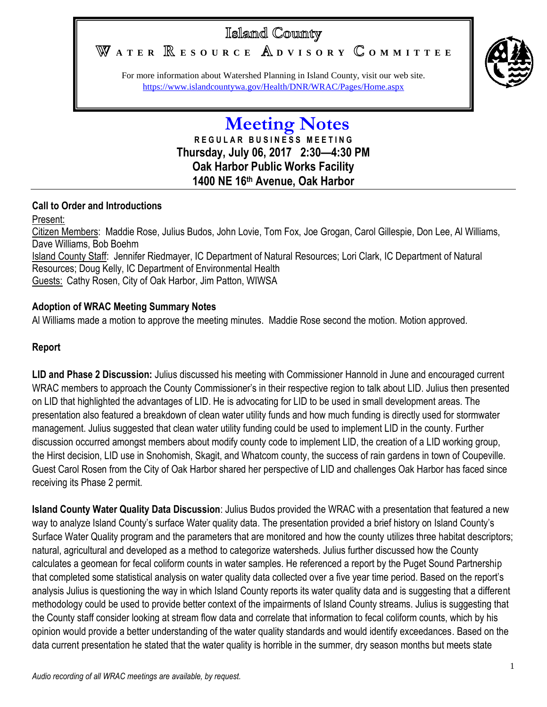# Island County

WATER **RESOURCE** ADVISORY COMMITTEE



For more information about Watershed Planning in Island County, visit our web site. <https://www.islandcountywa.gov/Health/DNR/WRAC/Pages/Home.aspx>

## **Meeting Notes R E G U L A R B U S I N E S S M E E T I N G Thursday, July 06, 2017 2:30—4:30 PM Oak Harbor Public Works Facility 1400 NE 16th Avenue, Oak Harbor**

### **Call to Order and Introductions**

Present:

Citizen Members: Maddie Rose, Julius Budos, John Lovie, Tom Fox, Joe Grogan, Carol Gillespie, Don Lee, Al Williams, Dave Williams, Bob Boehm Island County Staff: Jennifer Riedmayer, IC Department of Natural Resources; Lori Clark, IC Department of Natural Resources; Doug Kelly, IC Department of Environmental Health Guests: Cathy Rosen, City of Oak Harbor, Jim Patton, WIWSA

### **Adoption of WRAC Meeting Summary Notes**

Al Williams made a motion to approve the meeting minutes. Maddie Rose second the motion. Motion approved.

#### **Report**

**LID and Phase 2 Discussion:** Julius discussed his meeting with Commissioner Hannold in June and encouraged current WRAC members to approach the County Commissioner's in their respective region to talk about LID. Julius then presented on LID that highlighted the advantages of LID. He is advocating for LID to be used in small development areas. The presentation also featured a breakdown of clean water utility funds and how much funding is directly used for stormwater management. Julius suggested that clean water utility funding could be used to implement LID in the county. Further discussion occurred amongst members about modify county code to implement LID, the creation of a LID working group, the Hirst decision, LID use in Snohomish, Skagit, and Whatcom county, the success of rain gardens in town of Coupeville. Guest Carol Rosen from the City of Oak Harbor shared her perspective of LID and challenges Oak Harbor has faced since receiving its Phase 2 permit.

**Island County Water Quality Data Discussion**: Julius Budos provided the WRAC with a presentation that featured a new way to analyze Island County's surface Water quality data. The presentation provided a brief history on Island County's Surface Water Quality program and the parameters that are monitored and how the county utilizes three habitat descriptors; natural, agricultural and developed as a method to categorize watersheds. Julius further discussed how the County calculates a geomean for fecal coliform counts in water samples. He referenced a report by the Puget Sound Partnership that completed some statistical analysis on water quality data collected over a five year time period. Based on the report's analysis Julius is questioning the way in which Island County reports its water quality data and is suggesting that a different methodology could be used to provide better context of the impairments of Island County streams. Julius is suggesting that the County staff consider looking at stream flow data and correlate that information to fecal coliform counts, which by his opinion would provide a better understanding of the water quality standards and would identify exceedances. Based on the data current presentation he stated that the water quality is horrible in the summer, dry season months but meets state